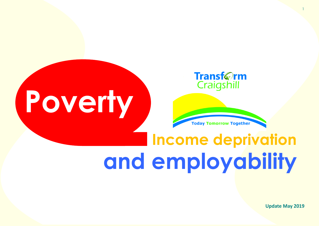

# **Poverty**



## **Income deprivation and employability**

**Update May 2019**

1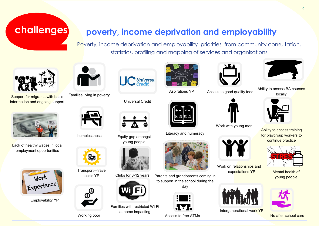#### **challenges**

#### **poverty, income deprivation and employability**

Poverty, income deprivation and employability priorities from community consultation, statistics, profiling and mapping of services and organisations



Support for migrants with basic information and ongoing support



Lack of healthy wages in local employment opportunities



Employability YP



Families living in poverty



homelessness Equity gap amongst



Transport—travel costs YP



Working poor



Universal Credit

young people

Clubs for 8-12 years

Families with restricted Wi-Fi at home impacting



Aspirations YP



Literacy and numeracy



Parents and grandparents coming in to support in the school during the day



Access to free ATMs



Access to good quality food





Work on relationships and expectations YP



Intergenerational work YP



 $\mathcal{L}$ 

Ability to access BA courses locally



Ability to access training for playgroup workers to continue practice



Mental health of young people



No after school care



Work with young men





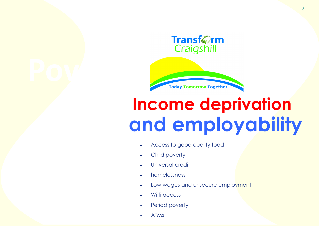**Transf**@rm Craigshill



### **Income deprivation and employability**

- Access to good quality food
- Child poverty
- Universal credit
- homelessness
- Low wages and unsecure employment
- Wi fi access
- Period poverty
- ATMs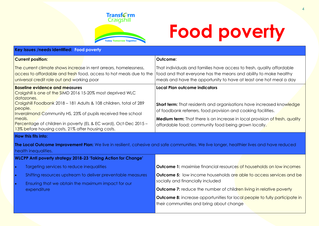

## **Food poverty**

| Key Issues /needs identified: Food poverty                                                                                                                                                                                                                                                                                                                                                              |                                                                                                                                                                                                                                                                                                                              |  |  |  |  |
|---------------------------------------------------------------------------------------------------------------------------------------------------------------------------------------------------------------------------------------------------------------------------------------------------------------------------------------------------------------------------------------------------------|------------------------------------------------------------------------------------------------------------------------------------------------------------------------------------------------------------------------------------------------------------------------------------------------------------------------------|--|--|--|--|
| <b>Current position:</b>                                                                                                                                                                                                                                                                                                                                                                                | Outcome:                                                                                                                                                                                                                                                                                                                     |  |  |  |  |
| The current climate shows increase in rent arrears, homelessness,<br>access to affordable and fresh food, access to hot meals due to the<br>universal credit role out and working poor                                                                                                                                                                                                                  | That individuals and families have access to fresh, quality affordable<br>food and that everyone has the means and ability to make healthy<br>meals and have the opportunity to have at least one hot meal a day                                                                                                             |  |  |  |  |
| <b>Baseline evidence and measures</b><br>Craigshill is one of the SIMD 2016 15-20% most deprived WLC<br>datazones.<br>Craigshill Foodbank 2018 - 181 Adults & 108 children, total of 289<br>people.<br>Inveralmond Community HS, 23% of pupils received free school<br>meals.<br>Percentage of children in poverty (EL & EC ward), Oct-Dec 2015 -<br>13% before housing costs, 21% after housing costs. | Local Plan outcome indicators<br><b>Short term:</b> That residents and organisations have increased knowledge<br>of foodbank referrers, food provision and cooking facilities.<br><b>Medium term:</b> That there is an increase in local provision of fresh, quality<br>affordable food; community food being grown locally. |  |  |  |  |
| <b>How this fits into:</b><br>health inequalities.                                                                                                                                                                                                                                                                                                                                                      | The Local Outcome Improvement Plan: We live in resilient, cohesive and safe communities. We live longer, healthier lives and have reduced                                                                                                                                                                                    |  |  |  |  |
| <b>WLCPP Anti poverty strategy 2018-23 'Taking Action for Change'</b>                                                                                                                                                                                                                                                                                                                                   |                                                                                                                                                                                                                                                                                                                              |  |  |  |  |
| Targeting services to reduce inequalities<br>$\bullet$                                                                                                                                                                                                                                                                                                                                                  | <b>Outcome 1:</b> maximise financial resources of households on low incomes                                                                                                                                                                                                                                                  |  |  |  |  |
| Shifting resources upstream to deliver preventable measures<br>$\bullet$<br>Ensuring that we obtain the maximum impact for our<br>$\bullet$                                                                                                                                                                                                                                                             | <b>Outcome 5:</b> low income households are able to access services and be<br>socially and financially included                                                                                                                                                                                                              |  |  |  |  |
| expenditure                                                                                                                                                                                                                                                                                                                                                                                             | <b>Outcome 7:</b> reduce the number of children living in relative poverty                                                                                                                                                                                                                                                   |  |  |  |  |
|                                                                                                                                                                                                                                                                                                                                                                                                         | <b>Outcome 8:</b> increase opportunities for local people to fully participate in<br>their communities and bring about change                                                                                                                                                                                                |  |  |  |  |
|                                                                                                                                                                                                                                                                                                                                                                                                         |                                                                                                                                                                                                                                                                                                                              |  |  |  |  |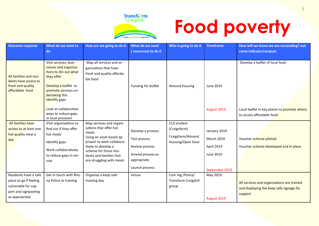

## **Food poverty**

| <b>Outcome required</b>                                                                | What do we need to<br>do                                                                                                                                                       | How are we going to do it                                                                   | What do we need<br>resources) to do it | Who is going to do it       | <b>Timeframe</b>  | How will we know we are succeeding? out-<br>come indicator/outputs        |
|----------------------------------------------------------------------------------------|--------------------------------------------------------------------------------------------------------------------------------------------------------------------------------|---------------------------------------------------------------------------------------------|----------------------------------------|-----------------------------|-------------------|---------------------------------------------------------------------------|
|                                                                                        |                                                                                                                                                                                |                                                                                             |                                        |                             |                   |                                                                           |
| All families and resi-<br>dents have access to<br>fresh and quality<br>affordable food | Visit services, busi-<br>nesses and organisa-<br>tions to din out what<br>they offer<br>Develop a leaflet to<br>promote services un-<br>dertaking this<br><b>Identify</b> gaps | Map all services and or-<br>ganisations that have<br>fresh and quality afforda-<br>ble food | Funding for leaflet                    | <b>Almond Housing</b>       | June 2019         | Develop a leaflet of local food                                           |
|                                                                                        | Look at collaborative<br>ways to reduce gaps<br>in local provision                                                                                                             |                                                                                             |                                        |                             | August 2019       | Local leaflet in key places to promote where<br>to access affordable food |
| All families have                                                                      | Visit organisations to                                                                                                                                                         | Map services and organi-                                                                    |                                        | CLD student                 |                   |                                                                           |
| access to at least one                                                                 | find out if they offer                                                                                                                                                         | sations that offer hot<br>meals                                                             | Develop a process                      | (Craigsfarm)                | January 2019      |                                                                           |
| hot quality meal a                                                                     | hot meals                                                                                                                                                                      | Using an asset based ap-                                                                    |                                        | Craigsfarm/Almond           |                   |                                                                           |
| day                                                                                    | Identify gaps                                                                                                                                                                  | proach to work collabora-                                                                   | Test process                           | Housing/Open Door           | <b>March 2019</b> | Voucher scheme piloted                                                    |
|                                                                                        | Work collaboratively                                                                                                                                                           | tively to develop a                                                                         | Review process                         |                             | April 2019        | Voucher scheme developed and in place                                     |
|                                                                                        | to reduce gaps in ser-                                                                                                                                                         | scheme for those resi-<br>dents and families that                                           | Amend process as                       |                             | June 2019         |                                                                           |
|                                                                                        | vice                                                                                                                                                                           | are struggling with meals                                                                   | appropriate                            |                             |                   |                                                                           |
|                                                                                        |                                                                                                                                                                                |                                                                                             | Launch process                         |                             | September 2019    |                                                                           |
| Residents have a safe                                                                  | Get in touch with Rho-                                                                                                                                                         | Organise a keep safe                                                                        | Venue                                  | Com reg /Police/            | May 2019          |                                                                           |
| place to go if feeling                                                                 | na Police re training                                                                                                                                                          | training day                                                                                |                                        | <b>Transform Craigshill</b> |                   | All services and organisations are trained                                |
| vulnerable for sup-                                                                    |                                                                                                                                                                                |                                                                                             |                                        | group                       |                   | and displaying the keep safe signage for                                  |
| port and signposting                                                                   |                                                                                                                                                                                |                                                                                             |                                        |                             |                   | support                                                                   |
| as appropriate                                                                         |                                                                                                                                                                                |                                                                                             |                                        |                             | August 2019       |                                                                           |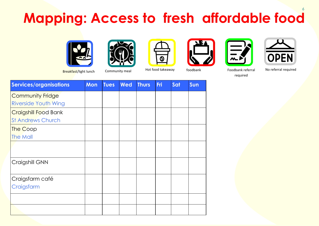#### 6 **Mapping: Access to fresh affordable food**













Breakfast/light lunch Community meal Hot food takeaway foodbank Foodbank Foodbank referral

No referral required

required

| <b>Services/organisations</b> | <b>Mon</b> | <b>Tues</b> | <b>Wed</b> | <b>Thurs</b> | Fri | Sat | Sun |
|-------------------------------|------------|-------------|------------|--------------|-----|-----|-----|
| <b>Community Fridge</b>       |            |             |            |              |     |     |     |
| <b>Riverside Youth Wing</b>   |            |             |            |              |     |     |     |
| <b>Craigshill Food Bank</b>   |            |             |            |              |     |     |     |
| <b>St Andrews Church</b>      |            |             |            |              |     |     |     |
| <b>The Coop</b>               |            |             |            |              |     |     |     |
| <b>The Mall</b>               |            |             |            |              |     |     |     |
|                               |            |             |            |              |     |     |     |
|                               |            |             |            |              |     |     |     |
| Craigshill GNN                |            |             |            |              |     |     |     |
|                               |            |             |            |              |     |     |     |
| Craigsfarm café               |            |             |            |              |     |     |     |
| Craigsfarm                    |            |             |            |              |     |     |     |
|                               |            |             |            |              |     |     |     |
|                               |            |             |            |              |     |     |     |
|                               |            |             |            |              |     |     |     |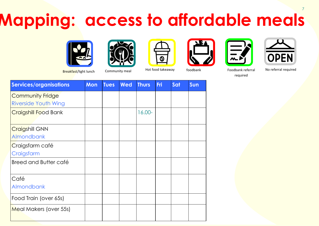#### 7 **Mapping: access to affordable meals**













Breakfast/light lunch Community meal Hot food takeaway foodbank Foodbank Foodbank referral

No referral required

required

| Services/organisations      | <b>Mon</b> | <b>Tues</b> | Wed | <b>Thurs</b> | <b>Fri</b> | Sat | Sun |
|-----------------------------|------------|-------------|-----|--------------|------------|-----|-----|
| <b>Community Fridge</b>     |            |             |     |              |            |     |     |
| <b>Riverside Youth Wing</b> |            |             |     |              |            |     |     |
| <b>Craigshill Food Bank</b> |            |             |     | 16.00-       |            |     |     |
|                             |            |             |     |              |            |     |     |
| <b>Craigshill GNN</b>       |            |             |     |              |            |     |     |
| <b>Almondbank</b>           |            |             |     |              |            |     |     |
| Craigsfarm café             |            |             |     |              |            |     |     |
| Craigsfarm                  |            |             |     |              |            |     |     |
| Breed and Butter café       |            |             |     |              |            |     |     |
|                             |            |             |     |              |            |     |     |
| Café                        |            |             |     |              |            |     |     |
| <b>Almondbank</b>           |            |             |     |              |            |     |     |
| Food Train (over 65s)       |            |             |     |              |            |     |     |
| Meal Makers (over 55s)      |            |             |     |              |            |     |     |
|                             |            |             |     |              |            |     |     |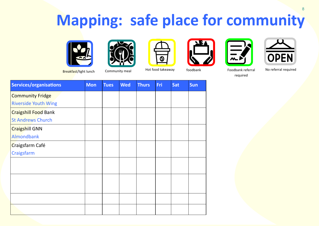#### **Mapping: safe place for community**













8

Breakfast/light lunch Community meal Hot food takeaway foodbank Foodbank Foodbank referral

No referral required

required

| <b>Services/organisations</b> | <b>Mon</b> | <b>Tues</b> | <b>Wed</b> | <b>Thurs</b> | Fri | Sat | Sun |
|-------------------------------|------------|-------------|------------|--------------|-----|-----|-----|
| <b>Community Fridge</b>       |            |             |            |              |     |     |     |
| <b>Riverside Youth Wing</b>   |            |             |            |              |     |     |     |
| <b>Craigshill Food Bank</b>   |            |             |            |              |     |     |     |
| <b>St Andrews Church</b>      |            |             |            |              |     |     |     |
| <b>Craigshill GNN</b>         |            |             |            |              |     |     |     |
| <b>Almondbank</b>             |            |             |            |              |     |     |     |
| Craigsfarm Café               |            |             |            |              |     |     |     |
| Craigsfarm                    |            |             |            |              |     |     |     |
|                               |            |             |            |              |     |     |     |
|                               |            |             |            |              |     |     |     |
|                               |            |             |            |              |     |     |     |
|                               |            |             |            |              |     |     |     |
|                               |            |             |            |              |     |     |     |
|                               |            |             |            |              |     |     |     |
|                               |            |             |            |              |     |     |     |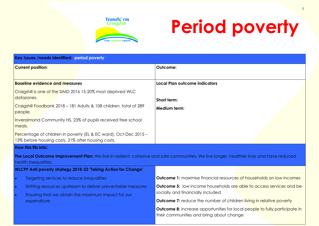

## **Period poverty**

| Key Issues /needs identified: period poverty                                                                           |                                                                                                                                           |  |  |  |  |
|------------------------------------------------------------------------------------------------------------------------|-------------------------------------------------------------------------------------------------------------------------------------------|--|--|--|--|
| <b>Current position:</b>                                                                                               | Outcome:                                                                                                                                  |  |  |  |  |
|                                                                                                                        |                                                                                                                                           |  |  |  |  |
| <b>Baseline evidence and measures</b>                                                                                  | <b>Local Plan outcome indicators</b>                                                                                                      |  |  |  |  |
| Craigshill is one of the SIMD 2016 15-20% most deprived WLC                                                            |                                                                                                                                           |  |  |  |  |
| datazones.                                                                                                             | Short term:                                                                                                                               |  |  |  |  |
| Craigshill Foodbank 2018 - 181 Adults & 108 children, total of 289<br>people.                                          | <b>Medium term:</b>                                                                                                                       |  |  |  |  |
| Inveralmond Community HS, 23% of pupils received free school<br>meals.                                                 |                                                                                                                                           |  |  |  |  |
| Percentage of children in poverty (EL & EC ward), Oct-Dec 2015 -<br>13% before housing costs, 21% after housing costs. |                                                                                                                                           |  |  |  |  |
| <b>How this fits into:</b>                                                                                             |                                                                                                                                           |  |  |  |  |
| health inequalities.                                                                                                   | The Local Outcome Improvement Plan: We live in resilient, cohesive and safe communities. We live longer, healthier lives and have reduced |  |  |  |  |
| <b>WLCPP Anti poverty strategy 2018-23 'Taking Action for Change'</b>                                                  |                                                                                                                                           |  |  |  |  |
| Targeting services to reduce inequalities<br>$\bullet$                                                                 | <b>Outcome 1:</b> maximise financial resources of households on low incomes                                                               |  |  |  |  |
| $\bullet$<br>Shifting resources upstream to deliver preventable measures                                               | <b>Outcome 5:</b> low income households are able to access services and be                                                                |  |  |  |  |
| Ensuring that we obtain the maximum impact for our<br>$\bullet$                                                        | socially and financially included                                                                                                         |  |  |  |  |
| expenditure                                                                                                            | <b>Outcome 7:</b> reduce the number of children living in relative poverty                                                                |  |  |  |  |
|                                                                                                                        | <b>Outcome 8:</b> increase opportunities for local people to fully participate in<br>their communities and bring about change             |  |  |  |  |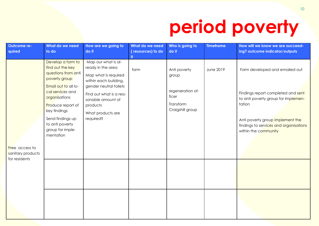### **period poverty**

| Outcome re-<br>quired               | What do we need<br>to do                                                                                                                                                                                                                                | How are we going to<br>do it                                                                                                                                                                                      | What do we need<br>(resources) to do | Who is going to<br>do it                                                            | <b>Timeframe</b> | How will we know we are succeed-<br>ing? outcome indicator/outputs                                                                                                                                                          |
|-------------------------------------|---------------------------------------------------------------------------------------------------------------------------------------------------------------------------------------------------------------------------------------------------------|-------------------------------------------------------------------------------------------------------------------------------------------------------------------------------------------------------------------|--------------------------------------|-------------------------------------------------------------------------------------|------------------|-----------------------------------------------------------------------------------------------------------------------------------------------------------------------------------------------------------------------------|
| Free access to<br>sanitary products | Develop a form to<br>find out the key<br>questions from anti<br>poverty group<br>Email out to all lo-<br>cal services and<br>organisations<br>Produce report of<br>key findings<br>Send findings up<br>to anti poverty<br>group for imple-<br>mentation | Map our what is al-<br>ready in the area<br>Map what is required<br>within each building,<br>gender neutral toilets<br>Find out what is a rea-<br>sonable amount of<br>products<br>What products are<br>required? | form                                 | Anti poverty<br>group<br>regeneration of-<br>ficer<br>Transform<br>Craigshill group | June 2019        | Form developed and emailed out<br>Findings report completed and sent<br>to anti poverty group for implemen-<br>tation<br>Anti poverty group implement the<br>findings to services and organisations<br>within the community |
| for residents                       |                                                                                                                                                                                                                                                         |                                                                                                                                                                                                                   |                                      |                                                                                     |                  |                                                                                                                                                                                                                             |
|                                     |                                                                                                                                                                                                                                                         |                                                                                                                                                                                                                   |                                      |                                                                                     |                  |                                                                                                                                                                                                                             |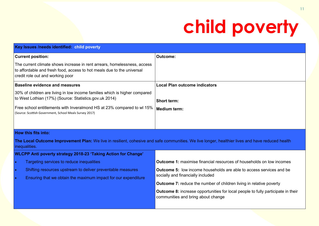#### **child poverty**

|           | Key Issues /needs identified: child poverty                                                                                                                                            |                                                                                                                                                  |
|-----------|----------------------------------------------------------------------------------------------------------------------------------------------------------------------------------------|--------------------------------------------------------------------------------------------------------------------------------------------------|
|           | <b>Current position:</b>                                                                                                                                                               | <b>Outcome:</b>                                                                                                                                  |
|           | The current climate shows increase in rent arrears, homelessness, access<br>to affordable and fresh food, access to hot meals due to the universal<br>credit role out and working poor |                                                                                                                                                  |
|           | <b>Baseline evidence and measures</b>                                                                                                                                                  | <b>Local Plan outcome indicators</b>                                                                                                             |
|           | 30% of children are living in low income families which is higher compared<br>to West Lothian (17%) (Source: Statistics.gov.uk 2014)                                                   | <b>Short term:</b>                                                                                                                               |
|           | Free school entitlements with Inveralmond HS at 23% compared to wl 15%<br>(Source: Scottish Government, School Meals Survey 2017)                                                      | <b>Medium term:</b>                                                                                                                              |
|           |                                                                                                                                                                                        |                                                                                                                                                  |
|           | <b>How this fits into:</b>                                                                                                                                                             |                                                                                                                                                  |
|           | inequalities.                                                                                                                                                                          | The Local Outcome Improvement Plan: We live in resilient, cohesive and safe communities. We live longer, healthier lives and have reduced health |
|           | WLCPP Anti poverty strategy 2018-23 'Taking Action for Change'                                                                                                                         |                                                                                                                                                  |
| $\bullet$ | Targeting services to reduce inequalities                                                                                                                                              | <b>Outcome 1:</b> maximise financial resources of households on low incomes                                                                      |
| $\bullet$ | Shifting resources upstream to deliver preventable measures                                                                                                                            | <b>Outcome 5:</b> low income households are able to access services and be                                                                       |
| $\bullet$ | Ensuring that we obtain the maximum impact for our expenditure                                                                                                                         | socially and financially included                                                                                                                |
|           |                                                                                                                                                                                        | Outcome 7: reduce the number of children living in relative poverty                                                                              |
|           |                                                                                                                                                                                        | <b>Outcome 8:</b> increase opportunities for local people to fully participate in their<br>communities and bring about change                    |
|           |                                                                                                                                                                                        |                                                                                                                                                  |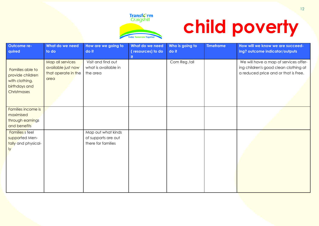

## **child poverty**

| Outcome re-<br>quired                                                                  | What do we need<br>to do                                              | How are we going to<br>do it                                    | What do we need<br>(resources) to do<br>-it | Who is going to<br>do it | <b>Timeframe</b> | How will we know we are succeed-<br>ing? outcome indicator/outputs                                                     |
|----------------------------------------------------------------------------------------|-----------------------------------------------------------------------|-----------------------------------------------------------------|---------------------------------------------|--------------------------|------------------|------------------------------------------------------------------------------------------------------------------------|
| Families able to<br>provide children<br>with clothing,<br>birthdays and<br>Christmases | Map all services<br>available just now<br>that operate in the<br>area | Visit and find out<br>what is available in<br>the area          |                                             | Com Reg /all             |                  | We will have a map of services offer-<br>ing children's good clean clothing at<br>a reduced price and or that is Free. |
| Families income is<br>maximised<br>through earnings<br>and benefits                    |                                                                       |                                                                 |                                             |                          |                  |                                                                                                                        |
| <b>Families</b> s feel<br>supported Men-<br>tally and physical-<br>ly.                 |                                                                       | Map out what kinds<br>of supports are out<br>there for families |                                             |                          |                  |                                                                                                                        |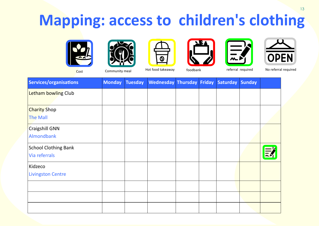#### **Mapping: access to children's clothing**













Cost Community meal Hot food takeaway foodbank referral required No referral required

| Services/organisations                       | <b>Monday</b> | <b>Tuesday</b> | <b>Wednesday Thursday Friday</b> |  | Saturday | <b>Sunday</b> |  |
|----------------------------------------------|---------------|----------------|----------------------------------|--|----------|---------------|--|
| <b>Letham bowling Club</b>                   |               |                |                                  |  |          |               |  |
| <b>Charity Shop</b><br><b>The Mall</b>       |               |                |                                  |  |          |               |  |
| <b>Craigshill GNN</b><br>Almondbank          |               |                |                                  |  |          |               |  |
| <b>School Clothing Bank</b><br>Via referrals |               |                |                                  |  |          |               |  |
| Kidzeco<br><b>Livingston Centre</b>          |               |                |                                  |  |          |               |  |
|                                              |               |                |                                  |  |          |               |  |
|                                              |               |                |                                  |  |          |               |  |
|                                              |               |                |                                  |  |          |               |  |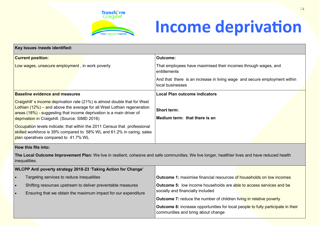

#### **Income deprivation**

| <b>Outcome:</b>                                                                                                                                  |  |  |  |  |
|--------------------------------------------------------------------------------------------------------------------------------------------------|--|--|--|--|
| That employees have maximised their incomes through wages, and<br>entitlements                                                                   |  |  |  |  |
| And that there is an increase in living wage and secure employment within<br>local businesses                                                    |  |  |  |  |
| <b>Local Plan outcome indicators</b>                                                                                                             |  |  |  |  |
| <b>Short term:</b><br>Medium term: that there is an                                                                                              |  |  |  |  |
|                                                                                                                                                  |  |  |  |  |
|                                                                                                                                                  |  |  |  |  |
| The Local Outcome Improvement Plan: We live in resilient, cohesive and safe communities. We live longer, healthier lives and have reduced health |  |  |  |  |
|                                                                                                                                                  |  |  |  |  |
| <b>Outcome 1:</b> maximise financial resources of households on low incomes                                                                      |  |  |  |  |
| Outcome 5: low income households are able to access services and be                                                                              |  |  |  |  |
| socially and financially included                                                                                                                |  |  |  |  |
| Outcome 7: reduce the number of children living in relative poverty                                                                              |  |  |  |  |
| <b>Outcome 8:</b> increase opportunities for local people to fully participate in their<br>communities and bring about change                    |  |  |  |  |
|                                                                                                                                                  |  |  |  |  |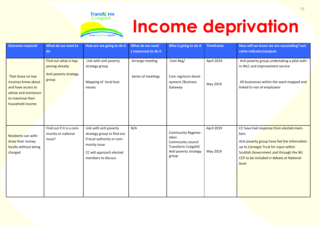

#### **Income deprivation**

| <b>Outcome required</b>                                                                                                         | What do we need to<br>do                                                  | How are we going to do it                                                                                                                            | What do we need<br>(resources) to do it | Who is going to do it                                                                                                    | <b>Timeframe</b>       | How will we know we are succeeding? out-<br>come indicator/outputs                                                                                                                                                                    |
|---------------------------------------------------------------------------------------------------------------------------------|---------------------------------------------------------------------------|------------------------------------------------------------------------------------------------------------------------------------------------------|-----------------------------------------|--------------------------------------------------------------------------------------------------------------------------|------------------------|---------------------------------------------------------------------------------------------------------------------------------------------------------------------------------------------------------------------------------------|
| That those on low<br>incomes know about<br>and have access to<br>advise and assistance<br>to maximise their<br>household income | Find out what is hap-<br>pening already<br>Anti poverty strategy<br>group | Link with anti poverty<br>strategy group<br>Mapping of local busi-<br>nesses                                                                         | Arrange meeting<br>Series of meetings   | Com Reg/<br>Com reg/econ devel-<br>opment /Business<br>Gateway                                                           | April 2019<br>May 2019 | Anti poverty group undertaking a pilot with-<br>in WLC and improvement service<br>All businesses within the ward mapped and<br>linked to nos of employees                                                                             |
| Residents can with-<br>draw their money<br>locally without being<br>charged                                                     | Find out if it is a com-<br>munity or national<br>issue?                  | Link with anti poverty<br>strategy group to find out<br>if local authority or com-<br>munity issue<br>CC will approach elected<br>members to discuss | N/A                                     | <b>Community Regener-</b><br>ation<br>Community council<br><b>Transform Craigshill</b><br>Anti poverty strategy<br>group | April 2019<br>May 2019 | CC have had response from elected mem-<br>bers<br>Anti poverty group have fed the information<br>up to Carnegie Trust for input within<br>Scottish Government and through the WL<br>CCP to be included in debate at National<br>level |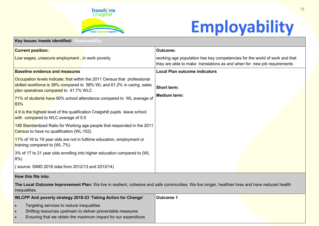

#### **Employability**

**Key Issues /needs identified: Employability Current position:**  Low wages, unsecure employment, in work poverty **Outcome:**  working age population has key competencies for the world of work and that they are able to make translations as and when for new job requirements **Baseline evidence and measures** Occupation levels indicate; that within the 2011 Census that professional skilled workforce is 39% compared to 58% WL and 61.2% in caring, sales plan operatives compared to 41.7% WLC **71% of students have 90% school attendance compared to WL average of** 83%  $\sqrt{4.9}$  is the highest level of the qualification Craigshill pupils leave school with compared to WLC average of 5.5 148 Standardized Ratio for Working age people that responded in the 2011 Census to have no qualification (WL:102). **11%** of 16 to 19 year olds are not in fulltime education, employment or training compared to (WL 7%) 3% of 17 to 21 year olds enrolling into higher education compared to (WL 8%) ( source: SIMD 2016 data from 2012/13 and 2013/14) **Local Plan outcome indicators Short term: Medium term:** 

#### **How this fits into:**

**The Local Outcome Improvement Plan:** We live in resilient, cohesive and safe communities. We live longer, healthier lives and have reduced health inequalities.

| WLCPP Anti poverty strategy 2018-23 'Taking Action for Change' | Outcome 1 |  |
|----------------------------------------------------------------|-----------|--|
| Targeting services to reduce inequalities                      |           |  |
| Shifting resources upstream to deliver preventable measures    |           |  |
| Ensuring that we obtain the maximum impact for our expenditure |           |  |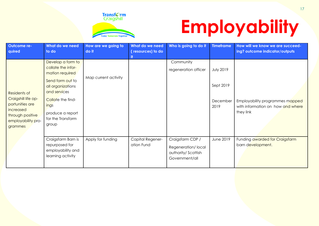

## **Employability**

| Outcome re-                                                                                                              | What do we need                                                                                                                                                                                    | How are we going to  | What do we need                | Who is going to do it                                                          | <b>Timeframe</b>                                  | How will we know we are succeed-                                                  |
|--------------------------------------------------------------------------------------------------------------------------|----------------------------------------------------------------------------------------------------------------------------------------------------------------------------------------------------|----------------------|--------------------------------|--------------------------------------------------------------------------------|---------------------------------------------------|-----------------------------------------------------------------------------------|
| quired                                                                                                                   | to do                                                                                                                                                                                              | do it                | (resources) to do<br>it.       |                                                                                |                                                   | ing? outcome indicator/outputs                                                    |
| Residents of<br>Craigshill life op-<br>portunities are<br>increased<br>through positive<br>employability pro-<br>grammes | Develop a form to<br>collate the infor-<br>mation required<br>Send form out to<br>all organizations<br>and services<br>Collate the find-<br>ings<br>produce a report<br>for the Transform<br>group | Map current activity |                                | Community<br>regeneration officer                                              | <b>July 2019</b><br>Sept 2019<br>December<br>2019 | Employability programmes mapped<br>with information on how and where<br>they link |
|                                                                                                                          | Craigsfarm Barn is<br>repurposed for<br>employability and<br>learning activity                                                                                                                     | Apply for funding    | Capital Regener-<br>ation Fund | Craigsfarm CDP /<br>Regeneration/local<br>authority/Scottish<br>Government/all | June 2019                                         | Funding awarded for Craigsfarm<br>barn development.                               |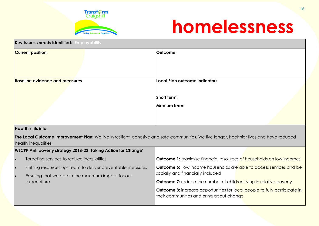

#### **homelessness**

| Key Issues /needs identified: Employability     |                                      |  |  |  |
|-------------------------------------------------|--------------------------------------|--|--|--|
| <b>Current position:</b>                        | Outcome:                             |  |  |  |
|                                                 |                                      |  |  |  |
|                                                 |                                      |  |  |  |
| <b>Baseline evidence and measures</b>           | <b>Local Plan outcome indicators</b> |  |  |  |
|                                                 |                                      |  |  |  |
|                                                 | Short term:                          |  |  |  |
|                                                 | <b>Medium term:</b>                  |  |  |  |
|                                                 |                                      |  |  |  |
| and the same state of the state and state and a |                                      |  |  |  |

#### **How this fits into:**

**The Local Outcome Improvement Plan:** We live in resilient, cohesive and safe communities. We live longer, healthier lives and have reduced health inequalities.

| WLCPP Anti poverty strategy 2018-23 'Taking Action for Change' |                                                                                                                   |                                                                                                                               |
|----------------------------------------------------------------|-------------------------------------------------------------------------------------------------------------------|-------------------------------------------------------------------------------------------------------------------------------|
| ∣ ●                                                            | Targeting services to reduce inequalities                                                                         | <b>Outcome 1:</b> maximise financial resources of households on low incomes                                                   |
| $\bullet$<br>$\bullet$                                         | Shifting resources upstream to deliver preventable measures<br>Ensuring that we obtain the maximum impact for our | <b>Outcome 5:</b> low income households are able to access services and be<br>socially and financially included               |
|                                                                | expenditure                                                                                                       | <b>Outcome 7:</b> reduce the number of children living in relative poverty                                                    |
|                                                                |                                                                                                                   | <b>Outcome 8:</b> increase opportunities for local people to fully participate in<br>their communities and bring about change |